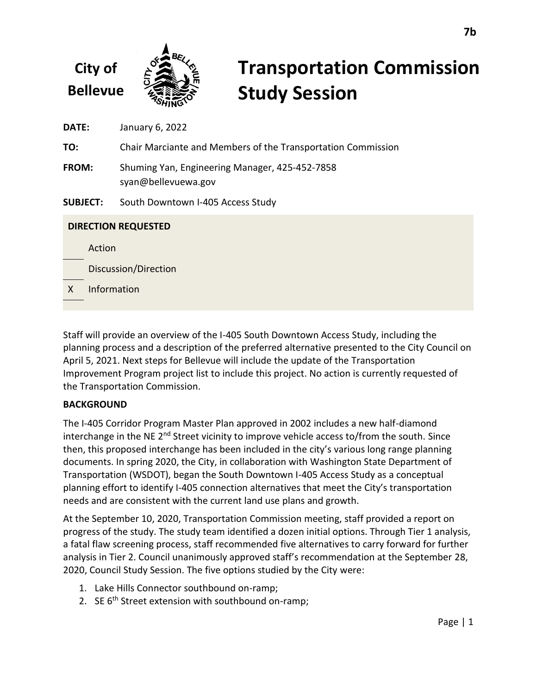# **Transportation Commission Study Session**

**DATE:** January 6, 2022

**TO:** Chair Marciante and Members of the Transportation Commission

**FROM:** Shuming Yan, Engineering Manager, 425-452-7858 syan@bellevuewa.gov

**SUBJECT:** South Downtown I-405 Access Study

| <b>DIRECTION REQUESTED</b> |                      |
|----------------------------|----------------------|
|                            | Action               |
|                            | Discussion/Direction |
| X                          | Information          |
|                            |                      |

Staff will provide an overview of the I-405 South Downtown Access Study, including the planning process and a description of the preferred alternative presented to the City Council on April 5, 2021. Next steps for Bellevue will include the update of the Transportation Improvement Program project list to include this project. No action is currently requested of the Transportation Commission.

# **BACKGROUND**

The I-405 Corridor Program Master Plan approved in 2002 includes a new half-diamond interchange in the NE 2<sup>nd</sup> Street vicinity to improve vehicle access to/from the south. Since then, this proposed interchange has been included in the city's various long range planning documents. In spring 2020, the City, in collaboration with Washington State Department of Transportation (WSDOT), began the South Downtown I-405 Access Study as a conceptual planning effort to identify I-405 connection alternatives that meet the City's transportation needs and are consistent with the current land use plans and growth.

At the September 10, 2020, Transportation Commission meeting, staff provided a report on progress of the study. The study team identified a dozen initial options. Through Tier 1 analysis, a fatal flaw screening process, staff recommended five alternatives to carry forward for further analysis in Tier 2. Council unanimously approved staff's recommendation at the September 28, 2020, Council Study Session. The five options studied by the City were:

- 1. Lake Hills Connector southbound on-ramp;
- 2. SE  $6<sup>th</sup>$  Street extension with southbound on-ramp;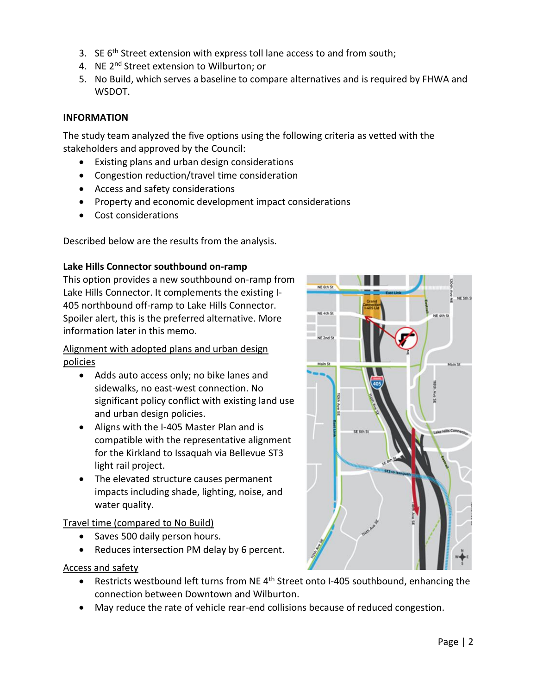- 3. SE  $6<sup>th</sup>$  Street extension with express toll lane access to and from south;
- 4. NE 2<sup>nd</sup> Street extension to Wilburton; or
- 5. No Build, which serves a baseline to compare alternatives and is required by FHWA and WSDOT.

## **INFORMATION**

The study team analyzed the five options using the following criteria as vetted with the stakeholders and approved by the Council:

- Existing plans and urban design considerations
- Congestion reduction/travel time consideration
- Access and safety considerations
- Property and economic development impact considerations
- Cost considerations

Described below are the results from the analysis.

#### **Lake Hills Connector southbound on-ramp**

This option provides a new southbound on-ramp from Lake Hills Connector. It complements the existing I-405 northbound off-ramp to Lake Hills Connector. Spoiler alert, this is the preferred alternative. More information later in this memo.

Alignment with adopted plans and urban design policies

- Adds auto access only; no bike lanes and sidewalks, no east-west connection. No significant policy conflict with existing land use and urban design policies.
- Aligns with the I-405 Master Plan and is compatible with the representative alignment for the Kirkland to Issaquah via Bellevue ST3 light rail project.
- The elevated structure causes permanent impacts including shade, lighting, noise, and water quality.

## Travel time (compared to No Build)

- Saves 500 daily person hours.
- Reduces intersection PM delay by 6 percent.

- Restricts westbound left turns from NE 4<sup>th</sup> Street onto I-405 southbound, enhancing the connection between Downtown and Wilburton.
- May reduce the rate of vehicle rear-end collisions because of reduced congestion.

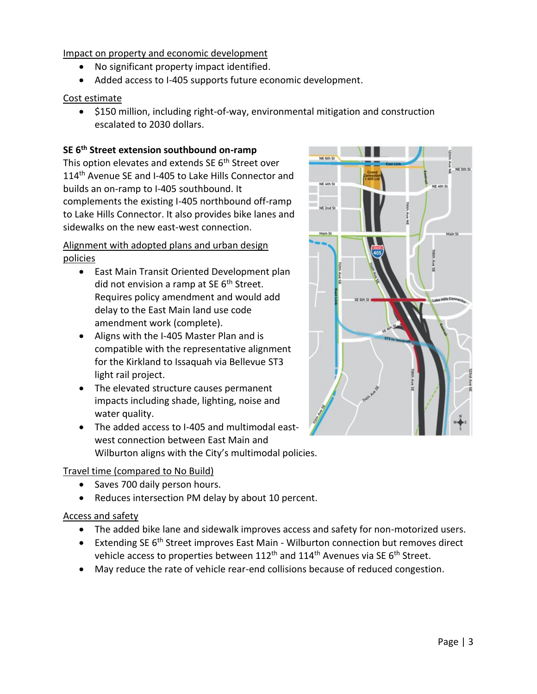- No significant property impact identified.
- Added access to I-405 supports future economic development.

## Cost estimate

• \$150 million, including right-of-way, environmental mitigation and construction escalated to 2030 dollars.

## **SE 6th Street extension southbound on-ramp**

This option elevates and extends SE 6<sup>th</sup> Street over 114<sup>th</sup> Avenue SE and I-405 to Lake Hills Connector and builds an on-ramp to I-405 southbound. It complements the existing I-405 northbound off-ramp to Lake Hills Connector. It also provides bike lanes and sidewalks on the new east-west connection.

Alignment with adopted plans and urban design policies

- East Main Transit Oriented Development plan did not envision a ramp at SE  $6<sup>th</sup>$  Street. Requires policy amendment and would add delay to the East Main land use code amendment work (complete).
- Aligns with the I-405 Master Plan and is compatible with the representative alignment for the Kirkland to Issaquah via Bellevue ST3 light rail project.
- The elevated structure causes permanent impacts including shade, lighting, noise and water quality.
- The added access to I-405 and multimodal eastwest connection between East Main and Wilburton aligns with the City's multimodal policies.

## Travel time (compared to No Build)

- Saves 700 daily person hours.
- Reduces intersection PM delay by about 10 percent.

- The added bike lane and sidewalk improves access and safety for non-motorized users.
- Extending SE  $6<sup>th</sup>$  Street improves East Main Wilburton connection but removes direct vehicle access to properties between  $112<sup>th</sup>$  and  $114<sup>th</sup>$  Avenues via SE 6<sup>th</sup> Street.
- May reduce the rate of vehicle rear-end collisions because of reduced congestion.

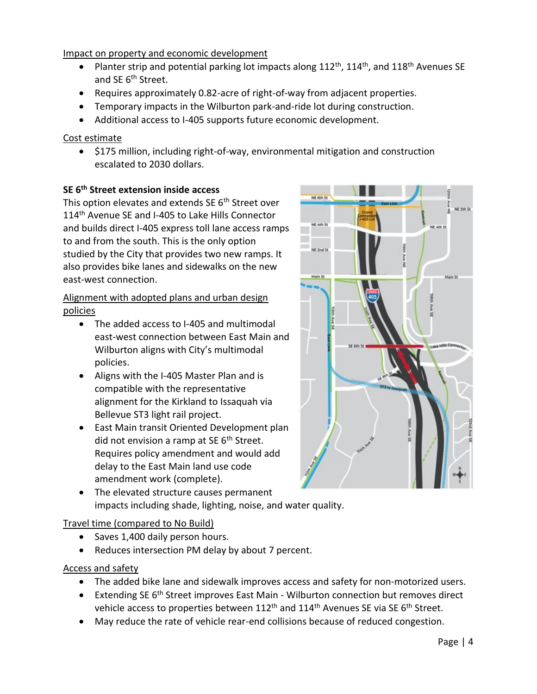- Planter strip and potential parking lot impacts along  $112^{th}$ ,  $114^{th}$ , and  $118^{th}$  Avenues SE and SE 6<sup>th</sup> Street.
- Requires approximately 0.82-acre of right-of-way from adjacent properties.
- Temporary impacts in the Wilburton park-and-ride lot during construction.
- Additional access to I-405 supports future economic development.

## Cost estimate

• \$175 million, including right-of-way, environmental mitigation and construction escalated to 2030 dollars.

## **SE 6th Street extension inside access**

This option elevates and extends SE 6<sup>th</sup> Street over 114<sup>th</sup> Avenue SE and I-405 to Lake Hills Connector and builds direct I-405 express toll lane access ramps to and from the south. This is the only option studied by the City that provides two new ramps. It also provides bike lanes and sidewalks on the new east-west connection.

## Alignment with adopted plans and urban design policies

- The added access to I-405 and multimodal east-west connection between East Main and Wilburton aligns with City's multimodal policies.
- Aligns with the I-405 Master Plan and is compatible with the representative alignment for the Kirkland to Issaquah via Bellevue ST3 light rail project.
- East Main transit Oriented Development plan did not envision a ramp at SE  $6<sup>th</sup>$  Street. Requires policy amendment and would add delay to the East Main land use code amendment work (complete).
- The elevated structure causes permanent impacts including shade, lighting, noise, and water quality.

## Travel time (compared to No Build)

- Saves 1,400 daily person hours.
- Reduces intersection PM delay by about 7 percent.

- The added bike lane and sidewalk improves access and safety for non-motorized users.
- Extending SE 6<sup>th</sup> Street improves East Main Wilburton connection but removes direct vehicle access to properties between  $112<sup>th</sup>$  and  $114<sup>th</sup>$  Avenues SE via SE 6<sup>th</sup> Street.
- May reduce the rate of vehicle rear-end collisions because of reduced congestion.

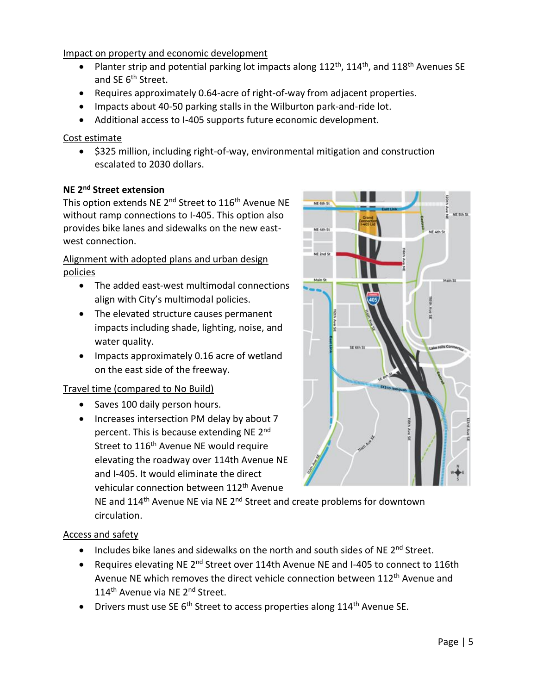- Planter strip and potential parking lot impacts along  $112^{th}$ ,  $114^{th}$ , and  $118^{th}$  Avenues SE and SE 6<sup>th</sup> Street.
- Requires approximately 0.64-acre of right-of-way from adjacent properties.
- Impacts about 40-50 parking stalls in the Wilburton park-and-ride lot.
- Additional access to I-405 supports future economic development.

## Cost estimate

• \$325 million, including right-of-way, environmental mitigation and construction escalated to 2030 dollars.

## **NE 2nd Street extension**

This option extends NE 2<sup>nd</sup> Street to 116<sup>th</sup> Avenue NE without ramp connections to I-405. This option also provides bike lanes and sidewalks on the new eastwest connection.

Alignment with adopted plans and urban design policies

- The added east-west multimodal connections align with City's multimodal policies.
- The elevated structure causes permanent impacts including shade, lighting, noise, and water quality.
- Impacts approximately 0.16 acre of wetland on the east side of the freeway.

## Travel time (compared to No Build)

- Saves 100 daily person hours.
- Increases intersection PM delay by about 7 percent. This is because extending NE 2<sup>nd</sup> Street to 116<sup>th</sup> Avenue NE would require elevating the roadway over 114th Avenue NE and I-405. It would eliminate the direct vehicular connection between 112<sup>th</sup> Avenue



NE and 114<sup>th</sup> Avenue NE via NE 2<sup>nd</sup> Street and create problems for downtown circulation.

- Includes bike lanes and sidewalks on the north and south sides of NE 2<sup>nd</sup> Street.
- Requires elevating NE 2<sup>nd</sup> Street over 114th Avenue NE and I-405 to connect to 116th Avenue NE which removes the direct vehicle connection between 112<sup>th</sup> Avenue and 114<sup>th</sup> Avenue via NE 2<sup>nd</sup> Street.
- Drivers must use SE  $6<sup>th</sup>$  Street to access properties along 114<sup>th</sup> Avenue SE.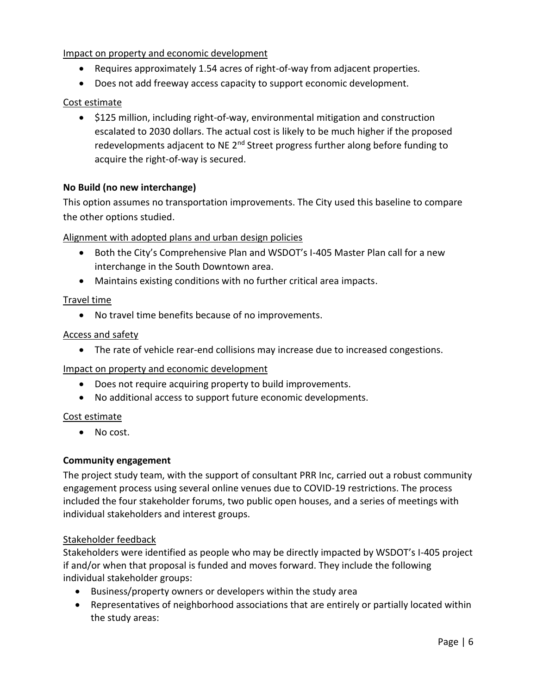- Requires approximately 1.54 acres of right-of-way from adjacent properties.
- Does not add freeway access capacity to support economic development.

## Cost estimate

• \$125 million, including right-of-way, environmental mitigation and construction escalated to 2030 dollars. The actual cost is likely to be much higher if the proposed redevelopments adjacent to NE  $2^{nd}$  Street progress further along before funding to acquire the right-of-way is secured.

## **No Build (no new interchange)**

This option assumes no transportation improvements. The City used this baseline to compare the other options studied.

## Alignment with adopted plans and urban design policies

- Both the City's Comprehensive Plan and WSDOT's I-405 Master Plan call for a new interchange in the South Downtown area.
- Maintains existing conditions with no further critical area impacts.

## Travel time

• No travel time benefits because of no improvements.

## Access and safety

• The rate of vehicle rear-end collisions may increase due to increased congestions.

## Impact on property and economic development

- Does not require acquiring property to build improvements.
- No additional access to support future economic developments.

## Cost estimate

• No cost.

## **Community engagement**

The project study team, with the support of consultant PRR Inc, carried out a robust community engagement process using several online venues due to COVID-19 restrictions. The process included the four stakeholder forums, two public open houses, and a series of meetings with individual stakeholders and interest groups.

## Stakeholder feedback

Stakeholders were identified as people who may be directly impacted by WSDOT's I-405 project if and/or when that proposal is funded and moves forward. They include the following individual stakeholder groups:

- Business/property owners or developers within the study area
- Representatives of neighborhood associations that are entirely or partially located within the study areas: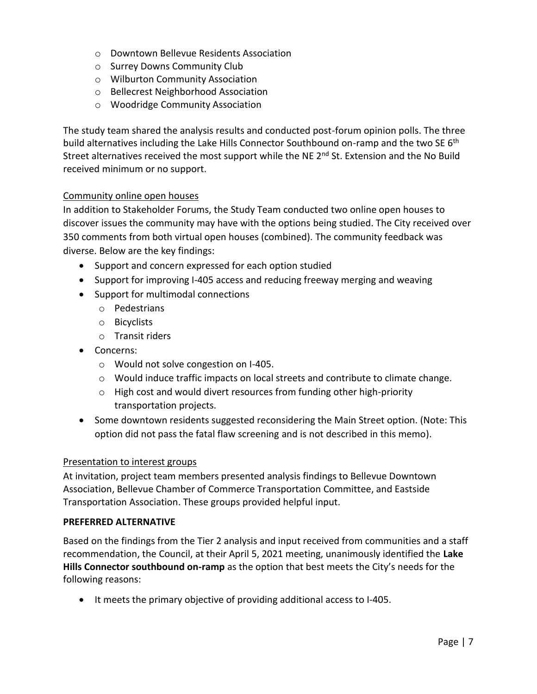- o Downtown Bellevue Residents Association
- o Surrey Downs Community Club
- o Wilburton Community Association
- o Bellecrest Neighborhood Association
- o Woodridge Community Association

The study team shared the analysis results and conducted post-forum opinion polls. The three build alternatives including the Lake Hills Connector Southbound on-ramp and the two SE 6<sup>th</sup> Street alternatives received the most support while the NE 2<sup>nd</sup> St. Extension and the No Build received minimum or no support.

#### Community online open houses

In addition to Stakeholder Forums, the Study Team conducted two online open houses to discover issues the community may have with the options being studied. The City received over 350 comments from both virtual open houses (combined). The community feedback was diverse. Below are the key findings:

- Support and concern expressed for each option studied
- Support for improving I-405 access and reducing freeway merging and weaving
- Support for multimodal connections
	- o Pedestrians
	- o Bicyclists
	- o Transit riders
- Concerns:
	- o Would not solve congestion on I-405.
	- o Would induce traffic impacts on local streets and contribute to climate change.
	- o High cost and would divert resources from funding other high-priority transportation projects.
- Some downtown residents suggested reconsidering the Main Street option. (Note: This option did not pass the fatal flaw screening and is not described in this memo).

#### Presentation to interest groups

At invitation, project team members presented analysis findings to Bellevue Downtown Association, Bellevue Chamber of Commerce Transportation Committee, and Eastside Transportation Association. These groups provided helpful input.

#### **PREFERRED ALTERNATIVE**

Based on the findings from the Tier 2 analysis and input received from communities and a staff recommendation, the Council, at their April 5, 2021 meeting, unanimously identified the **Lake Hills Connector southbound on-ramp** as the option that best meets the City's needs for the following reasons:

• It meets the primary objective of providing additional access to I-405.